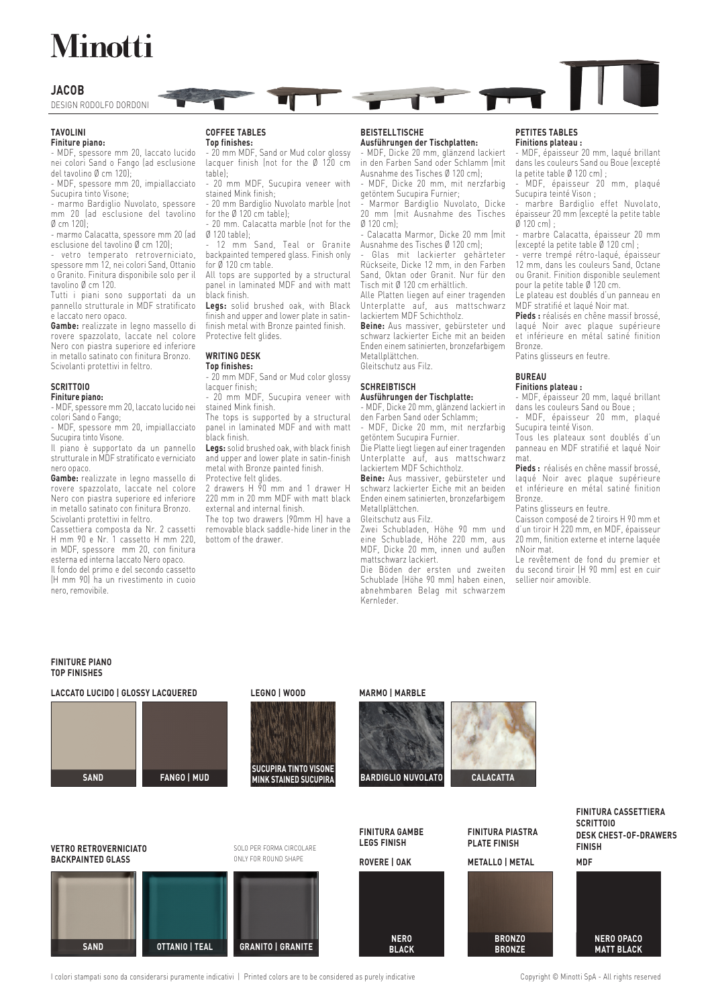# **Minotti**

## **JACOB**

DESIGN RODOLFO DORDONI

### **TAVOLINI**

**Finiture piano:**

- MDF, spessore mm 20, laccato lucido nei colori Sand o Fango (ad esclusione del tavolino Ø cm 120);

- MDF, spessore mm 20, impiallacciato Sucupira tinto Visone;

- marmo Bardiglio Nuvolato, spessore mm 20 (ad esclusione del tavolino Ø cm 120);

- marmo Calacatta, spessore mm 20 (ad esclusione del tavolino Ø cm 120);

vetro temperato retroverniciato, spessore mm 12, nei colori Sand, Ottanio o Granito. Finitura disponibile solo per il tavolino Ø cm 120.

Tutti i piani sono supportati da un pannello strutturale in MDF stratificato e laccato nero opaco.

**Gambe:** realizzate in legno massello di rovere spazzolato, laccate nel colore Nero con piastra superiore ed inferiore in metallo satinato con finitura Bronzo. Scivolanti protettivi in feltro.

# **SCRITTOIO**

#### **Finiture piano:**

- MDF, spessore mm 20, laccato lucido nei colori Sand o Fango;

- MDF, spessore mm 20, impiallacciato Sucupira tinto Visone.

Il piano è supportato da un pannello strutturale in MDF stratificato e verniciato nero opaco.

**Gambe:** realizzate in legno massello di rovere spazzolato, laccate nel colore Nero con piastra superiore ed inferiore in metallo satinato con finitura Bronzo. Scivolanti protettivi in feltro.

Cassettiera composta da Nr. 2 cassetti H mm 90 e Nr. 1 cassetto H mm 220, in MDF, spessore mm 20, con finitura esterna ed interna laccato Nero opaco. Il fondo del primo e del secondo cassetto

(H mm 90) ha un rivestimento in cuoio nero, removibile.

# **COFFEE TABLES**

**Top finishes:** - 20 mm MDF, Sand or Mud color glossy lacquer finish (not for the Ø 120 cm table);

- 20 mm MDF, Sucupira veneer with stained Mink finish;

- 20 mm Bardiglio Nuvolato marble (not for the Ø 120 cm table);

20 mm. Calacatta marble (not for the Ø 120 table);

12 mm Sand, Teal or Granite backpainted tempered glass. Finish only for Ø 120 cm table.

All tops are supported by a structural panel in laminated MDF and with matt black finish.

**Legs:** solid brushed oak, with Black finish and upper and lower plate in satinfinish metal with Bronze painted finish. Protective felt glides.

# **WRITING DESK**

**Top finishes:** 20 mm MDF, Sand or Mud color glossy

lacquer finish; - 20 mm MDF, Sucupira veneer with

stained Mink finish. The tops is supported by a structural panel in laminated MDF and with matt black finish.

**Legs:** solid brushed oak, with black finish and upper and lower plate in satin-finish metal with Bronze painted finish.

Protective felt glides. 2 drawers H 90 mm and 1 drawer H 220 mm in 20 mm MDF with matt black external and internal finish.

The top two drawers (90mm H) have a removable black saddle-hide liner in the bottom of the drawer.

#### **BEISTELLTISCHE Ausführungen der Tischplatten:**

- MDF, Dicke 20 mm, glänzend lackiert in den Farben Sand oder Schlamm (mit Ausnahme des Tisches Ø 120 cm);

- MDF, Dicke 20 mm, mit nerzfarbig getöntem Sucupira Furnier;

- Marmor Bardiglio Nuvolato, Dicke 20 mm (mit Ausnahme des Tisches Ø 120 cm);

Calacatta Marmor, Dicke 20 mm (mit Ausnahme des Tisches Ø 120 cm);

Glas mit lackierter gehärteter Rückseite, Dicke 12 mm, in den Farben Sand, Oktan oder Granit. Nur für den Tisch mit Ø 120 cm erhältlich.

Alle Platten liegen auf einer tragenden Unterplatte auf, aus mattschwarz lackiertem MDF Schichtholz.

**Beine:** Aus massiver, gebürsteter und schwarz lackierter Eiche mit an beiden Enden einem satinierten, bronzefarbigem Metallplättchen. Gleitschutz aus Filz.

#### **SCHREIBTISCH Ausführungen der Tischplatte:**

- MDF, Dicke 20 mm, glänzend lackiert in den Farben Sand oder Schlamm; - MDF, Dicke 20 mm, mit nerzfarbig

getöntem Sucupira Furnier. Die Platte liegt liegen auf einer tragenden Unterplatte auf, aus mattschwarz lackiertem MDF Schichtholz.

**Beine:** Aus massiver, gebürsteter und schwarz lackierter Eiche mit an beiden Enden einem satinierten, bronzefarbigem Metallplättchen.

Gleitschutz aus Filz.

Zwei Schubladen, Höhe 90 mm und eine Schublade, Höhe 220 mm, aus MDF, Dicke 20 mm, innen und außen mattschwarz lackiert.

Die Böden der ersten und zweiten Schublade (Höhe 90 mm) haben einen, abnehmbaren Belag mit schwarzem Kernleder.

#### **PETITES TABLES Finitions plateau :**

- MDF, épaisseur 20 mm, laqué brillant dans les couleurs Sand ou Boue (excepté la petite table Ø 120 cm) ;

- MDF, épaisseur 20 mm, plaqué Sucupira teinté Vison ;

- marbre Bardiglio effet Nuvolato, épaisseur 20 mm (excepté la petite table  $\emptyset$  120 cm

marbre Calacatta, épaisseur 20 mm (excepté la petite table Ø 120 cm) ;

verre trempé rétro-laqué, épaisseur 12 mm, dans les couleurs Sand, Octane ou Granit. Finition disponible seulement pour la petite table Ø 120 cm.

Le plateau est doublés d'un panneau en MDF stratifié et laqué Noir mat.

**Pieds :** réalisés en chêne massif brossé, laqué Noir avec plaque supérieure et inférieure en métal satiné finition Bronze.

Patins glisseurs en feutre.

# **BUREAU**

**Finitions plateau :** - MDF, épaisseur 20 mm, laqué brillant dans les couleurs Sand ou Boue ;

- MDF, épaisseur 20 mm, plaqué Sucupira teinté Vison.

Tous les plateaux sont doublés d'un panneau en MDF stratifié et laqué Noir mat.

**Pieds :** réalisés en chêne massif brossé, laqué Noir avec plaque supérieure et inférieure en métal satiné finition Bronze.

Patins glisseurs en feutre.

Caisson composé de 2 tiroirs H 90 mm et d'un tiroir H 220 mm, en MDF, épaisseur 20 mm, finition externe et interne laquée nNoir mat.

Le revêtement de fond du premier et du second tiroir (H 90 mm) est en cuir sellier noir amovible.

### **FINITURE PIANO TOP FINISHES**

#### **LACCATO LUCIDO | GLOSSY LACQUERED**





## **MARMO | MARBLE**





**FINITURA CASSETTIERA SCRITTOIO DESK CHEST-OF-DRAWERS FINISH**



I colori stampati sono da considerarsi puramente indicativi | Printed colors are to be considered as purely indicative Copyright © Minotti SpA - All rights reserved

**LEGNO | WOOD**

**FANGO | MUD**